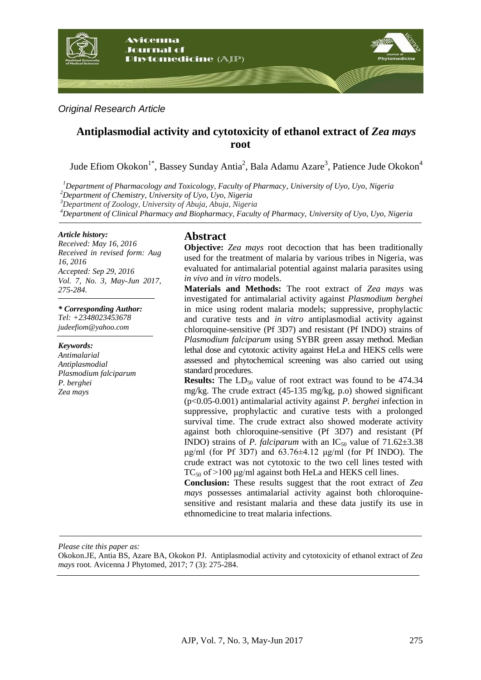

*Original Research Article*

# **Antiplasmodial activity and cytotoxicity of ethanol extract of** *Zea mays* **root**

Jude Efiom Okokon<sup>1\*</sup>, Bassey Sunday Antia<sup>2</sup>, Bala Adamu Azare<sup>3</sup>, Patience Jude Okokon<sup>4</sup>

*<sup>1</sup>Department of Pharmacology and Toxicology, Faculty of Pharmacy, University of Uyo, Uyo, Nigeria <sup>2</sup>Department of Chemistry, University of Uyo, Uyo, Nigeria*

*<sup>3</sup>Department of Zoology, University of Abuja, Abuja, Nigeria*

*<sup>4</sup>Department of Clinical Pharmacy and Biopharmacy, Faculty of Pharmacy, University of Uyo, Uyo, Nigeria*

#### *Article history:*

*Received: May 16, 2016 Received in revised form: Aug 16, 2016 Accepted: Sep 29, 2016 Vol. 7, No. 3, May-Jun 2017, 275-284.*

*\* Corresponding Author: Tel: +2348023453678 judeefiom@yahoo.com*

*Keywords: Antimalarial Antiplasmodial Plasmodium falciparum P. berghei Zea mays*

# **Abstract**

**Objective:** *Zea mays* root decoction that has been traditionally used for the treatment of malaria by various tribes in Nigeria, was evaluated for antimalarial potential against malaria parasites using *in vivo* and *in vitro* models.

**Materials and Methods:** The root extract of *Zea mays* was investigated for antimalarial activity against *Plasmodium berghei* in mice using rodent malaria models; suppressive, prophylactic and curative tests and *in vitro* antiplasmodial activity against chloroquine-sensitive (Pf 3D7) and resistant (Pf INDO) strains of *Plasmodium falciparum* using SYBR green assay method. Median lethal dose and cytotoxic activity against HeLa and HEKS cells were assessed and phytochemical screening was also carried out using standard procedures.

**Results:** The LD<sub>50</sub> value of root extract was found to be 474.34 mg/kg. The crude extract (45-135 mg/kg, p.o) showed significant (p<0.05-0.001) antimalarial activity against *P. berghei* infection in suppressive, prophylactic and curative tests with a prolonged survival time. The crude extract also showed moderate activity against both chloroquine-sensitive (Pf 3D7) and resistant (Pf INDO) strains of *P. falciparum* with an  $IC_{50}$  value of  $71.62 \pm 3.38$ μg/ml (for Pf 3D7) and  $63.76\pm4.12$  μg/ml (for Pf INDO). The crude extract was not cytotoxic to the two cell lines tested with TC<sub>50</sub> of >100  $\mu$ g/ml against both HeLa and HEKS cell lines.

**Conclusion:** These results suggest that the root extract of *Zea mays* possesses antimalarial activity against both chloroquinesensitive and resistant malaria and these data justify its use in ethnomedicine to treat malaria infections.

*Please cite this paper as:*

Okokon.JE, Antia BS, Azare BA, Okokon PJ. Antiplasmodial activity and cytotoxicity of ethanol extract of *Zea mays* root. Avicenna J Phytomed, 2017; 7 (3): 275-284.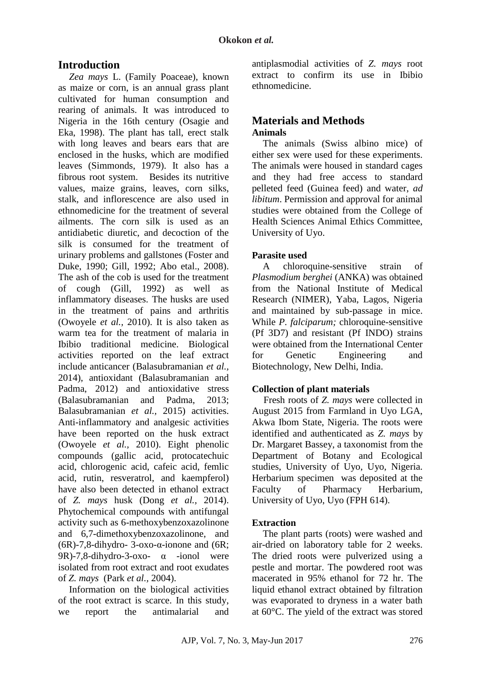# **Introduction**

*Zea mays* L. (Family Poaceae), known as maize or corn, is an annual grass plant cultivated for human consumption and rearing of animals. It was introduced to Nigeria in the 16th century (Osagie and Eka, 1998). The plant has tall, erect stalk with long leaves and bears ears that are enclosed in the husks, which are modified leaves (Simmonds, 1979). It also has a fibrous root system. Besides its nutritive values, maize grains, leaves, corn silks, stalk, and inflorescence are also used in ethnomedicine for the treatment of several ailments. The corn silk is used as an antidiabetic diuretic, and decoction of the silk is consumed for the treatment of urinary problems and gallstones (Foster and Duke, 1990; Gill, 1992; Abo etal., 2008). The ash of the cob is used for the treatment of cough (Gill, 1992) as well as inflammatory diseases. The husks are used in the treatment of pains and arthritis (Owoyele *et al.,* 2010). It is also taken as warm tea for the treatment of malaria in Ibibio traditional medicine. Biological activities reported on the leaf extract include anticancer (Balasubramanian *et al.,* 2014), antioxidant (Balasubramanian and Padma, 2012) and antioxidative stress (Balasubramanian and Padma, 2013; Balasubramanian *et al.,* 2015) activities. Anti-inflammatory and analgesic activities have been reported on the husk extract (Owoyele *et al.,* 2010). Eight phenolic compounds (gallic acid, protocatechuic acid, chlorogenic acid, cafeic acid, femlic acid, rutin, resveratrol, and kaempferol) have also been detected in ethanol extract of *Z. mays* husk (Dong *et al.,* 2014). Phytochemical compounds with antifungal activity such as 6-methoxybenzoxazolinone and 6,7-dimethoxybenzoxazolinone, and (6R)-7,8-dihydro- 3-oxo-α-ionone and (6R; 9R)-7,8-dihydro-3-oxo- α -ionol were isolated from root extract and root exudates of *Z. mays* (Park *et al.,* 2004).

Information on the biological activities of the root extract is scarce. In this study, we report the antimalarial and antiplasmodial activities of *Z. mays* root extract to confirm its use in Ibibio ethnomedicine.

# **Materials and Methods Animals**

The animals (Swiss albino mice) of either sex were used for these experiments. The animals were housed in standard cages and they had free access to standard pelleted feed (Guinea feed) and water, *ad libitum*. Permission and approval for animal studies were obtained from the College of Health Sciences Animal Ethics Committee, University of Uyo.

# **Parasite used**

A chloroquine-sensitive strain of *Plasmodium berghei* (ANKA) was obtained from the National Institute of Medical Research (NIMER), Yaba, Lagos, Nigeria and maintained by sub-passage in mice. While *P. falciparum*; chloroquine-sensitive (Pf 3D7) and resistant (Pf INDO) strains were obtained from the International Center for Genetic Engineering and Biotechnology, New Delhi, India.

# **Collection of plant materials**

Fresh roots of *Z. mays* were collected in August 2015 from Farmland in Uyo LGA, Akwa Ibom State, Nigeria. The roots were identified and authenticated as *Z. mays* by Dr. Margaret Bassey, a taxonomist from the Department of Botany and Ecological studies, University of Uyo, Uyo, Nigeria. Herbarium specimen was deposited at the Faculty of Pharmacy Herbarium, University of Uyo, Uyo (FPH 614).

# **Extraction**

The plant parts (roots) were washed and air-dried on laboratory table for 2 weeks. The dried roots were pulverized using a pestle and mortar. The powdered root was macerated in 95% ethanol for 72 hr. The liquid ethanol extract obtained by filtration was evaporated to dryness in a water bath at 60°C. The yield of the extract was stored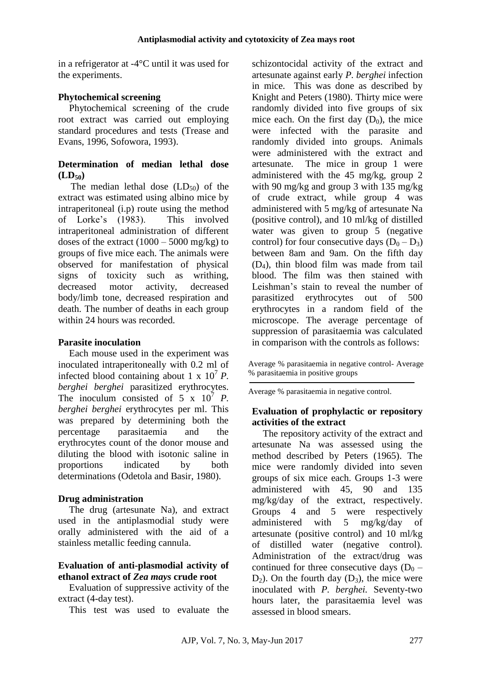in a refrigerator at -4°C until it was used for the experiments.

# **Phytochemical screening**

Phytochemical screening of the crude root extract was carried out employing standard procedures and tests (Trease and Evans, 1996, Sofowora, 1993).

# **Determination of median lethal dose**   $(LD_{50})$

The median lethal dose  $(LD_{50})$  of the extract was estimated using albino mice by intraperitoneal (i.p) route using the method of Lorke's (1983). This involved intraperitoneal administration of different doses of the extract  $(1000 - 5000 \text{ mg/kg})$  to groups of five mice each. The animals were observed for manifestation of physical signs of toxicity such as writhing, decreased motor activity, decreased body/limb tone, decreased respiration and death. The number of deaths in each group within 24 hours was recorded.

# **Parasite inoculation**

Each mouse used in the experiment was inoculated intraperitoneally with 0.2 ml of infected blood containing about 1 x  $10^7 P$ . *berghei berghei* parasitized erythrocytes. The inoculum consisted of  $5 \times 10^7$  *P*. *berghei berghei* erythrocytes per ml. This was prepared by determining both the percentage parasitaemia and the erythrocytes count of the donor mouse and diluting the blood with isotonic saline in proportions indicated by both determinations (Odetola and Basir, 1980).

# **Drug administration**

The drug (artesunate Na), and extract used in the antiplasmodial study were orally administered with the aid of a stainless metallic feeding cannula.

# **Evaluation of anti-plasmodial activity of ethanol extract of** *Zea mays* **crude root**

Evaluation of suppressive activity of the extract (4-day test).

This test was used to evaluate the

schizontocidal activity of the extract and artesunate against early *P. berghei* infection in mice. This was done as described by Knight and Peters (1980). Thirty mice were randomly divided into five groups of six mice each. On the first day  $(D_0)$ , the mice were infected with the parasite and randomly divided into groups. Animals were administered with the extract and artesunate. The mice in group 1 were administered with the 45 mg/kg, group 2 with 90 mg/kg and group 3 with 135 mg/kg of crude extract, while group 4 was administered with 5 mg/kg of artesunate Na (positive control), and 10 ml/kg of distilled water was given to group 5 (negative control) for four consecutive days  $(D_0 - D_3)$ between 8am and 9am. On the fifth day (D4), thin blood film was made from tail blood. The film was then stained with Leishman's stain to reveal the number of parasitized erythrocytes out of 500 erythrocytes in a random field of the microscope. The average percentage of suppression of parasitaemia was calculated in comparison with the controls as follows:

Average % parasitaemia in negative control- Average % parasitaemia in positive groups

Average % parasitaemia in negative control.

### **Evaluation of prophylactic or repository activities of the extract**

The repository activity of the extract and artesunate Na was assessed using the method described by Peters (1965). The mice were randomly divided into seven groups of six mice each. Groups 1-3 were administered with 45, 90 and 135 mg/kg/day of the extract, respectively. Groups 4 and 5 were respectively administered with 5 mg/kg/day of artesunate (positive control) and 10 ml/kg of distilled water (negative control). Administration of the extract/drug was continued for three consecutive days  $(D_0 D_2$ ). On the fourth day  $(D_3)$ , the mice were inoculated with *P. berghei.* Seventy-two hours later, the parasitaemia level was assessed in blood smears.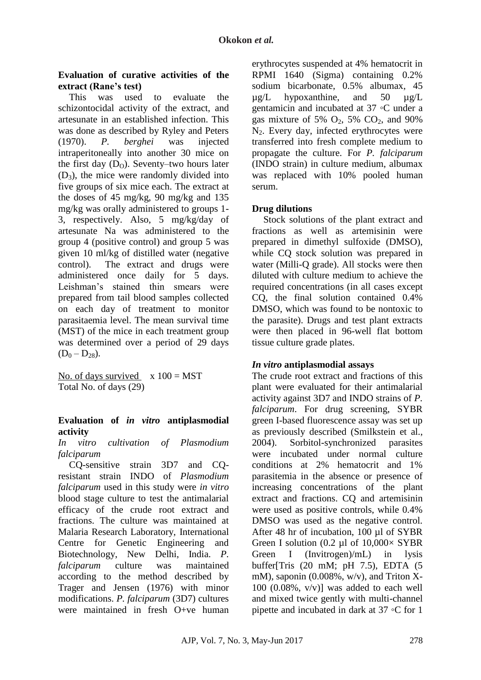# **Evaluation of curative activities of the extract (Rane's test)**

This was used to evaluate the schizontocidal activity of the extract, and artesunate in an established infection. This was done as described by Ryley and Peters (1970). *P. berghei* was injected intraperitoneally into another 30 mice on the first day  $(D_0)$ . Seventy–two hours later  $(D_3)$ , the mice were randomly divided into five groups of six mice each. The extract at the doses of 45 mg/kg, 90 mg/kg and 135 mg/kg was orally administered to groups 1- 3, respectively. Also, 5 mg/kg/day of artesunate Na was administered to the group 4 (positive control) and group 5 was given 10 ml/kg of distilled water (negative control). The extract and drugs were administered once daily for 5 days. Leishman's stained thin smears were prepared from tail blood samples collected on each day of treatment to monitor parasitaemia level. The mean survival time (MST) of the mice in each treatment group was determined over a period of 29 days  $(D_0 - D_{28}).$ 

No. of days survived  $x 100 = MST$ Total No. of days (29)

# **Evaluation of** *in vitro* **antiplasmodial activity**

#### *In vitro cultivation of Plasmodium falciparum*

CQ-sensitive strain 3D7 and CQresistant strain INDO of *Plasmodium falciparum* used in this study were *in vitro* blood stage culture to test the antimalarial efficacy of the crude root extract and fractions. The culture was maintained at Malaria Research Laboratory, International Centre for Genetic Engineering and Biotechnology, New Delhi, India. *P. falciparum* culture was maintained according to the method described by Trager and Jensen (1976) with minor modifications. *P. falciparum* (3D7) cultures were maintained in fresh O+ve human erythrocytes suspended at 4% hematocrit in RPMI 1640 (Sigma) containing 0.2% sodium bicarbonate, 0.5% albumax, 45  $\mu$ g/L hypoxanthine, and 50  $\mu$ g/L gentamicin and incubated at 37 ◦C under a gas mixture of 5%  $O_2$ , 5%  $CO_2$ , and 90% N2. Every day, infected erythrocytes were transferred into fresh complete medium to propagate the culture. For *P. falciparum* (INDO strain) in culture medium, albumax was replaced with 10% pooled human serum.

### **Drug dilutions**

Stock solutions of the plant extract and fractions as well as artemisinin were prepared in dimethyl sulfoxide (DMSO), while CO stock solution was prepared in water (Milli-O grade). All stocks were then diluted with culture medium to achieve the required concentrations (in all cases except CQ, the final solution contained 0.4% DMSO, which was found to be nontoxic to the parasite). Drugs and test plant extracts were then placed in 96-well flat bottom tissue culture grade plates.

# *In vitro* **antiplasmodial assays**

The crude root extract and fractions of this plant were evaluated for their antimalarial activity against 3D7 and INDO strains of *P. falciparum*. For drug screening, SYBR green I-based fluorescence assay was set up as previously described (Smilkstein et al., 2004). Sorbitol-synchronized parasites were incubated under normal culture conditions at 2% hematocrit and 1% parasitemia in the absence or presence of increasing concentrations of the plant extract and fractions. CQ and artemisinin were used as positive controls, while 0.4% DMSO was used as the negative control. After 48 hr of incubation, 100 µl of SYBR Green I solution (0.2  $\mu$ l of 10,000 $\times$  SYBR Green I (Invitrogen)/mL) in lysis buffer[Tris (20 mM; pH 7.5), EDTA (5 mM), saponin (0.008%, w/v), and Triton X-100  $(0.08\%, v/v)$ ] was added to each well and mixed twice gently with multi-channel pipette and incubated in dark at 37 ◦C for 1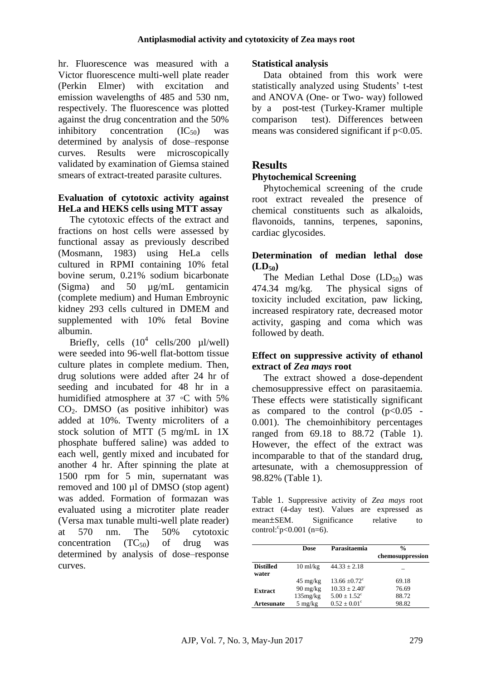hr. Fluorescence was measured with a Victor fluorescence multi-well plate reader (Perkin Elmer) with excitation and emission wavelengths of 485 and 530 nm, respectively. The fluorescence was plotted against the drug concentration and the 50% inhibitory concentration  $(IC_{50})$  was determined by analysis of dose–response curves. Results were microscopically validated by examination of Giemsa stained smears of extract-treated parasite cultures.

#### **Evaluation of cytotoxic activity against HeLa and HEKS cells using MTT assay**

The cytotoxic effects of the extract and fractions on host cells were assessed by functional assay as previously described (Mosmann, 1983) using HeLa cells cultured in RPMI containing 10% fetal bovine serum, 0.21% sodium bicarbonate (Sigma) and 50 µg/mL gentamicin (complete medium) and Human Embroynic kidney 293 cells cultured in DMEM and supplemented with 10% fetal Bovine albumin.

Briefly, cells  $(10^4 \text{ cells}/200 \text{ µl/well})$ were seeded into 96-well flat-bottom tissue culture plates in complete medium. Then, drug solutions were added after 24 hr of seeding and incubated for 48 hr in a humidified atmosphere at 37 ◦C with 5% CO2. DMSO (as positive inhibitor) was added at 10%. Twenty microliters of a stock solution of MTT (5 mg/mL in 1X phosphate buffered saline) was added to each well, gently mixed and incubated for another 4 hr. After spinning the plate at 1500 rpm for 5 min, supernatant was removed and 100 µl of DMSO (stop agent) was added. Formation of formazan was evaluated using a microtiter plate reader (Versa max tunable multi-well plate reader) at 570 nm. The 50% cytotoxic concentration  $(TC_{50})$  of drug was determined by analysis of dose–response curves.

# **Statistical analysis**

Data obtained from this work were statistically analyzed using Students' t-test and ANOVA (One- or Two- way) followed by a post-test (Turkey-Kramer multiple comparison test). Differences between means was considered significant if  $p<0.05$ .

# **Results**

### **Phytochemical Screening**

Phytochemical screening of the crude root extract revealed the presence of chemical constituents such as alkaloids, flavonoids, tannins, terpenes, saponins, cardiac glycosides.

### **Determination of median lethal dose**   $(LD_{50})$

The Median Lethal Dose  $(LD_{50})$  was 474.34 mg/kg. The physical signs of toxicity included excitation, paw licking, increased respiratory rate, decreased motor activity, gasping and coma which was followed by death.

### **Effect on suppressive activity of ethanol extract of** *Zea mays* **root**

The extract showed a dose-dependent chemosuppressive effect on parasitaemia. These effects were statistically significant as compared to the control  $(p<0.05$  -0.001). The chemoinhibitory percentages ranged from 69.18 to 88.72 (Table 1). However, the effect of the extract was incomparable to that of the standard drug, artesunate, with a chemosuppression of 98.82% (Table 1).

Table 1. Suppressive activity of *Zea mays* root extract (4-day test). Values are expressed as mean±SEM. Significance relative to  $control: p<0.001 (n=6).$ 

|                           | Dose               | Parasitaemia            | $\frac{0}{0}$    |
|---------------------------|--------------------|-------------------------|------------------|
|                           |                    |                         | chemosuppression |
| <b>Distilled</b><br>water | $10 \text{ ml/kg}$ | $44.33 \pm 2.18$        |                  |
|                           | $45 \text{ mg/kg}$ | $13.66 + 0.72^{\circ}$  | 69.18            |
| <b>Extract</b>            | $90 \text{ mg/kg}$ | $10.33 + 2.40^{\circ}$  | 76.69            |
|                           | 135mg/kg           | $5.00 + 1.52^{\circ}$   | 88.72            |
| <b>Artesunate</b>         | $5 \text{ mg/kg}$  | $0.52 \pm 0.01^{\circ}$ | 98.82            |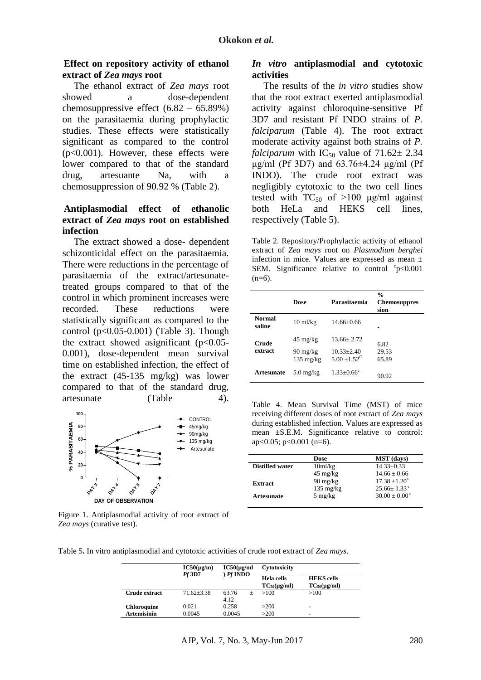#### **Effect on repository activity of ethanol extract of** *Zea mays* **root**

The ethanol extract of *Zea mays* root showed a dose-dependent chemosuppressive effect (6.82 – 65.89%) on the parasitaemia during prophylactic studies. These effects were statistically significant as compared to the control (p<0.001). However, these effects were lower compared to that of the standard drug, artesuante Na, with a chemosuppression of 90.92 % (Table 2).

#### **Antiplasmodial effect of ethanolic extract of** *Zea mays* **root on established infection**

The extract showed a dose- dependent schizonticidal effect on the parasitaemia. There were reductions in the percentage of parasitaemia of the extract/artesunatetreated groups compared to that of the control in which prominent increases were recorded. These reductions were statistically significant as compared to the control  $(p<0.05-0.001)$  (Table 3). Though the extract showed asignificant  $(p<0.05$ -0.001), dose-dependent mean survival time on established infection, the effect of the extract (45-135 mg/kg) was lower compared to that of the standard drug, artesunate (Table 4).



Figure 1. Antiplasmodial activity of root extract of *Zea mays* (curative test).

#### *In vitro* **antiplasmodial and cytotoxic activities**

The results of the *in vitro* studies show that the root extract exerted antiplasmodial activity against chloroquine-sensitive Pf 3D7 and resistant Pf INDO strains of *P. falciparum* (Table 4). The root extract moderate activity against both strains of *P. falciparum* with  $IC_{50}$  value of  $71.62 \pm 2.34$ μg/ml (Pf 3D7) and 63.76±4.24 μg/ml (Pf INDO). The crude root extract was negligibly cytotoxic to the two cell lines tested with  $TC_{50}$  of  $>100 \mu g/ml$  against both HeLa and HEKS cell lines, respectively (Table 5).

Table 2. Repository/Prophylactic activity of ethanol extract of *Zea mays* root on *Plasmodium berghei* infection in mice. Values are expressed as mean ± SEM. Significance relative to control  $\degree$ p<0.001  $(n=6)$ .

|                         | Dose                                                            | Parasitaemia                                              | $\frac{0}{0}$<br><b>Chemosuppres</b><br>sion |
|-------------------------|-----------------------------------------------------------------|-----------------------------------------------------------|----------------------------------------------|
| <b>Normal</b><br>saline | $10 \text{ ml/kg}$                                              | $14.66 + 0.66$                                            |                                              |
| Crude<br>extract        | $45 \text{ mg/kg}$<br>$90 \text{ mg/kg}$<br>$135 \text{ mg/kg}$ | $13.66 + 2.72$<br>$10.33 + 2.40$<br>$5.00 + 1.52^{\circ}$ | 6.82<br>29.53<br>65.89                       |
| <b>Artesunate</b>       | $5.0 \text{ mg/kg}$                                             | $1.33 \pm 0.66$ <sup>c</sup>                              | 90.92                                        |

Table 4. Mean Survival Time (MST) of mice receiving different doses of root extract of *Zea mays* during established infection. Values are expressed as mean ±S.E.M. Significance relative to control: ap< $0.05$ ; p< $0.001$  (n=6).

|                        | Dose                  | <b>MST</b> (days)      |
|------------------------|-----------------------|------------------------|
| <b>Distilled water</b> | $10m$ <i>l</i> / $kg$ | $14.33 + 0.33$         |
|                        | $45 \text{ mg/kg}$    | $14.66 + 0.66$         |
| <b>Extract</b>         | $90 \text{ mg/kg}$    | $17.38 + 1.20^a$       |
|                        | $135 \text{ mg/kg}$   | $25.66 + 1.33^{\circ}$ |
| <b>Artesunate</b>      | $5 \text{ mg/kg}$     | $30.00 + 0.00^{\circ}$ |

Table 5**.** In vitro antiplasmodial and cytotoxic activities of crude root extract of *Zea mays*.

|                    | $IC50(\mu g/m)$<br><i>Pf</i> 3D7 | $IC50(\mu\text{g/ml})$<br>$)$ $Pf$ INDO | Cytotoxicity                            |                                                |
|--------------------|----------------------------------|-----------------------------------------|-----------------------------------------|------------------------------------------------|
|                    |                                  |                                         | Hela cells<br>$TC_{50}(\mu\text{g/ml})$ | <b>HEKS</b> cells<br>$TC_{50}(\mu\text{g/ml})$ |
| Crude extract      | $71.62 + 3.38$                   | 63.76<br>$+$<br>4.12                    | >100                                    | >100                                           |
| <b>Chloroquine</b> | 0.021                            | 0.258                                   | >200                                    | -                                              |
| <b>Artemisinin</b> | 0.0045                           | 0.0045                                  | >200                                    | $\overline{\phantom{0}}$                       |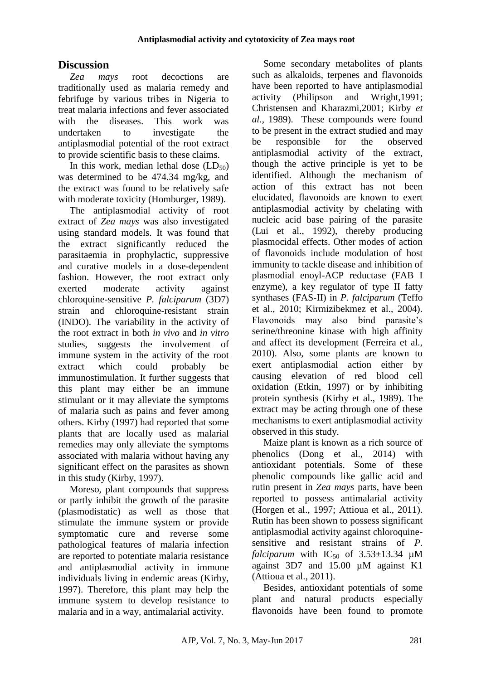# **Discussion**

*Zea mays* root decoctions are traditionally used as malaria remedy and febrifuge by various tribes in Nigeria to treat malaria infections and fever associated with the diseases. This work was undertaken to investigate the antiplasmodial potential of the root extract to provide scientific basis to these claims.

In this work, median lethal dose  $(LD_{50})$ was determined to be 474.34 mg/kg, and the extract was found to be relatively safe with moderate toxicity (Homburger, 1989).

The antiplasmodial activity of root extract of *Zea mays* was also investigated using standard models. It was found that the extract significantly reduced the parasitaemia in prophylactic, suppressive and curative models in a dose-dependent fashion. However, the root extract only exerted moderate activity against chloroquine-sensitive *P. falciparum* (3D7) strain and chloroquine-resistant strain (INDO). The variability in the activity of the root extract in both *in vivo* and *in vitro* studies, suggests the involvement of immune system in the activity of the root extract which could probably be immunostimulation. It further suggests that this plant may either be an immune stimulant or it may alleviate the symptoms of malaria such as pains and fever among others. Kirby (1997) had reported that some plants that are locally used as malarial remedies may only alleviate the symptoms associated with malaria without having any significant effect on the parasites as shown in this study (Kirby, 1997).

Moreso, plant compounds that suppress or partly inhibit the growth of the parasite (plasmodistatic) as well as those that stimulate the immune system or provide symptomatic cure and reverse some pathological features of malaria infection are reported to potentiate malaria resistance and antiplasmodial activity in immune individuals living in endemic areas (Kirby, 1997). Therefore, this plant may help the immune system to develop resistance to malaria and in a way, antimalarial activity.

Some secondary metabolites of plants such as alkaloids, terpenes and flavonoids have been reported to have antiplasmodial activity (Philipson and Wright,1991; Christensen and Kharazmi,2001; Kirby *et al.,* 1989). These compounds were found to be present in the extract studied and may be responsible for the observed antiplasmodial activity of the extract, though the active principle is yet to be identified. Although the mechanism of action of this extract has not been elucidated, flavonoids are known to exert antiplasmodial activity by chelating with nucleic acid base pairing of the parasite (Lui et al., 1992), thereby producing plasmocidal effects. Other modes of action of flavonoids include modulation of host immunity to tackle disease and inhibition of plasmodial enoyl-ACP reductase (FAB I enzyme), a key regulator of type II fatty synthases (FAS-II) in *P. falciparum* (Teffo et al., 2010; Kirmizibekmez et al., 2004). Flavonoids may also bind parasite's serine/threonine kinase with high affinity and affect its development (Ferreira et al., 2010). Also, some plants are known to exert antiplasmodial action either by causing elevation of red blood cell oxidation (Etkin, 1997) or by inhibiting protein synthesis (Kirby et al., 1989). The extract may be acting through one of these mechanisms to exert antiplasmodial activity observed in this study.

Maize plant is known as a rich source of phenolics (Dong et al., 2014) with antioxidant potentials. Some of these phenolic compounds like gallic acid and rutin present in *Zea mays* parts, have been reported to possess antimalarial activity (Horgen et al., 1997; Attioua et al., 2011). Rutin has been shown to possess significant antiplasmodial activity against chloroquinesensitive and resistant strains of *P. falciparum* with  $IC_{50}$  of  $3.53\pm13.34$  µM against 3D7 and 15.00 µM against K1 (Attioua et al., 2011).

Besides, antioxidant potentials of some plant and natural products especially flavonoids have been found to promote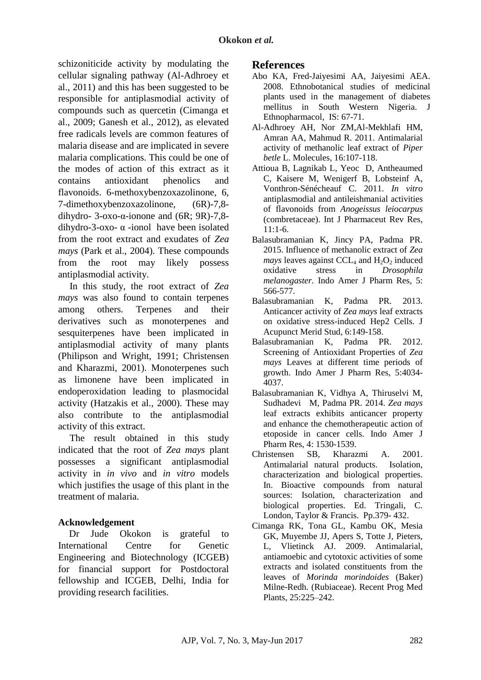schizoniticide activity by modulating the cellular signaling pathway (Al-Adhroey et al., 2011) and this has been suggested to be responsible for antiplasmodial activity of compounds such as quercetin (Cimanga et al., 2009; Ganesh et al., 2012), as elevated free radicals levels are common features of malaria disease and are implicated in severe malaria complications. This could be one of the modes of action of this extract as it contains antioxidant phenolics and flavonoids. 6-methoxybenzoxazolinone, 6, 7-dimethoxybenzoxazolinone, (6R)-7,8 dihydro- 3-oxo-α-ionone and (6R; 9R)-7,8 dihydro-3-oxo- α -ionol have been isolated from the root extract and exudates of *Zea mays* (Park et al., 2004). These compounds from the root may likely possess antiplasmodial activity.

In this study, the root extract of *Zea mays* was also found to contain terpenes among others. Terpenes and their derivatives such as monoterpenes and sesquiterpenes have been implicated in antiplasmodial activity of many plants (Philipson and Wright, 1991; Christensen and Kharazmi, 2001). Monoterpenes such as limonene have been implicated in endoperoxidation leading to plasmocidal activity (Hatzakis et al*.*, 2000). These may also contribute to the antiplasmodial activity of this extract.

The result obtained in this study indicated that the root of *Zea mays* plant possesses a significant antiplasmodial activity in *in vivo* and *in vitro* models which justifies the usage of this plant in the treatment of malaria.

# **Acknowledgement**

Dr Jude Okokon is grateful to International Centre for Genetic Engineering and Biotechnology (ICGEB) for financial support for Postdoctoral fellowship and ICGEB, Delhi, India for providing research facilities.

### **References**

- Abo KA*,* Fred-Jaiyesimi AA, Jaiyesimi AEA. 2008. Ethnobotanical studies of medicinal plants used in the management of diabetes mellitus in South Western Nigeria. J Ethnopharmacol, IS: 67-71.
- Al-Adhroey AH, Nor ZM,Al-Mekhlafi HM, Amran AA, Mahmud R. 2011. Antimalarial activity of methanolic leaf extract of *Piper betle* L. Molecules, 16:107-118.
- Attioua B, Lagnikab L, Yeoc D, Antheaumed C, Kaisere M, Wenigerf B, Lobsteinf A, Vonthron-Sénécheauf C. 2011. *In vitro*  antiplasmodial and antileishmanial activities of flavonoids from *Anogeissus leiocarpus*  (combretaceae). Int J Pharmaceut Rev Res,  $11:1-6$
- Balasubramanian K, Jincy PA, Padma PR. 2015. Influence of methanolic extract of *Zea mays* leaves against CCL<sub>4</sub> and  $H_2O_2$  induced<br>oxidative stress in *Drosophila* oxidative stress in *Drosophila melanogaster.* Indo Amer J Pharm Res*,* 5: 566-577.
- Balasubramanian K, Padma PR. 2013. Anticancer activity of *Zea mays* leaf extracts on oxidative stress-induced Hep2 Cells. J Acupunct Merid Stud*,* 6:149-158.
- Balasubramanian K, Padma PR. 2012. Screening of Antioxidant Properties of *Zea mays* Leaves at different time periods of growth. Indo Amer J Pharm Res, 5:4034- 4037.
- Balasubramanian K, Vidhya A, Thiruselvi M, Sudhadevi M, Padma PR. 2014. *Zea mays* leaf extracts exhibits anticancer property and enhance the chemotherapeutic action of etoposide in cancer cells. Indo Amer J Pharm Res, 4: 1530-1539.
- Christensen SB, Kharazmi A. 2001. Antimalarial natural products. Isolation, characterization and biological properties. In. Bioactive compounds from natural sources: Isolation, characterization and biological properties. Ed. Tringali, C. London, Taylor & Francis. Pp.379- 432.
- Cimanga RK, Tona GL, Kambu OK, Mesia GK, Muyembe JJ, Apers S, Totte J, Pieters, L, Vlietinck AJ. 2009. Antimalarial, antiamoebic and cytotoxic activities of some extracts and isolated constituents from the leaves of *Morinda morindoides* (Baker) Milne-Redh. (Rubiaceae). Recent Prog Med Plants, 25:225–242.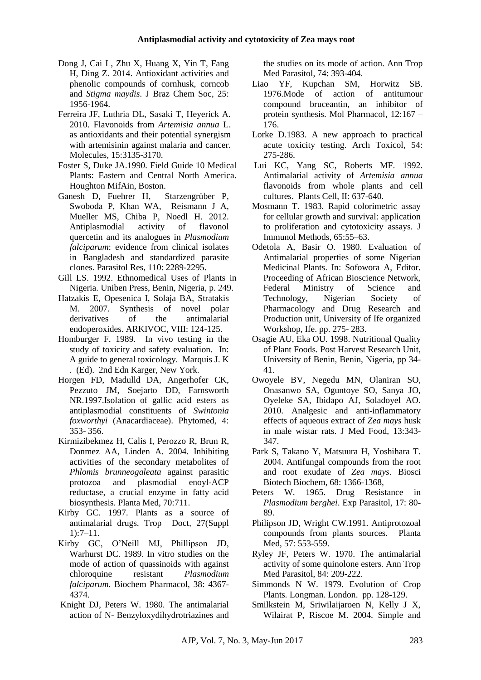- Dong J, Cai L, Zhu X, Huang X, Yin T, Fang H, Ding Z. 2014. Antioxidant activities and phenolic compounds of cornhusk, corncob and *Stigma maydis*. J Braz Chem Soc*,* 25: 1956-1964.
- Ferreira JF, Luthria DL, Sasaki T, Heyerick A. 2010. Flavonoids from *Artemisia annua* L. as antioxidants and their potential synergism with artemisinin against malaria and cancer. Molecules, 15:3135-3170.
- Foster S, Duke JA.1990. Field Guide 10 Medical Plants: Eastern and Central North America. Houghton MifAin, Boston.
- Ganesh D, Fuehrer H, Starzengrüber P, Swoboda P, Khan WA, Reismann J A, Mueller MS, Chiba P, Noedl H. 2012. Antiplasmodial activity of flavonol quercetin and its analogues in *Plasmodium falciparum*: evidence from clinical isolates in Bangladesh and standardized parasite clones. Parasitol Res, 110: 2289-2295.
- Gill LS. 1992. Ethnomedical Uses of Plants in Nigeria*.* Uniben Press, Benin, Nigeria, p. 249.
- Hatzakis E, Opesenica I, Solaja BA, Stratakis M. 2007. Synthesis of novel polar derivatives of the antimalarial endoperoxides. ARKIVOC, VIII: 124-125.
- Homburger F. 1989. In vivo testing in the study of toxicity and safety evaluation. In: A guide to general toxicology. Marquis J. K . (Ed). 2nd Edn Karger, New York.
- Horgen FD, Madulld DA, Angerhofer CK, Pezzuto JM, Soejarto DD, Farnsworth NR.1997.Isolation of gallic acid esters as antiplasmodial constituents of *Swintonia foxworthyi* (Anacardiaceae). Phytomed, 4: 353- 356.
- Kirmizibekmez H, Calis I, Perozzo R, Brun R, Donmez AA, Linden A. 2004. Inhibiting activities of the secondary metabolites of *Phlomis brunneogaleata* against parasitic protozoa and plasmodial enoyl-ACP reductase, a crucial enzyme in fatty acid biosynthesis. Planta Med, 70:711.
- Kirby GC. 1997. Plants as a source of antimalarial drugs. Trop Doct*,* 27(Suppl 1):7–11.
- Kirby GC, O'Neill MJ, Phillipson JD, Warhurst DC. 1989. In vitro studies on the mode of action of quassinoids with against chloroquine resistant *Plasmodium falciparum*. Biochem Pharmacol, 38: 4367- 4374.
- Knight DJ, Peters W. 1980. The antimalarial action of N- Benzyloxydihydrotriazines and

the studies on its mode of action. Ann Trop Med Parasitol, 74: 393-404.

- Liao YF, Kupchan SM, Horwitz SB. 1976.Mode of action of antitumour compound bruceantin, an inhibitor of protein synthesis. Mol Pharmacol*,* 12:167 – 176.
- Lorke D.1983. A new approach to practical acute toxicity testing. Arch Toxicol, 54: 275-286.
- Lui KC, Yang SC, Roberts MF. 1992. Antimalarial activity of *Artemisia annua* flavonoids from whole plants and cell cultures. Plants Cell, II: 637-640.
- Mosmann T. 1983. Rapid colorimetric assay for cellular growth and survival: application to proliferation and cytotoxicity assays. J Immunol Methods, 65:55–63.
- Odetola A, Basir O. 1980. Evaluation of Antimalarial properties of some Nigerian Medicinal Plants. In: Sofowora A, Editor. Proceeding of African Bioscience Network, Federal Ministry of Science and Technology, Nigerian Society of Pharmacology and Drug Research and Production unit, University of Ife organized Workshop, Ife. pp. 275- 283.
- Osagie AU, Eka OU. 1998. Nutritional Quality of Plant Foods. Post Harvest Research Unit, University of Benin, Benin, Nigeria, pp 34- 41.
- Owoyele BV, Negedu MN, Olaniran SO, Onasanwo SA, Oguntoye SO, Sanya JO, Oyeleke SA, Ibidapo AJ, Soladoyel AO. 2010. Analgesic and anti-inflammatory effects of aqueous extract of *Zea mays* husk in male wistar rats. J Med Food, 13:343- 347.
- Park S, Takano Y, Matsuura H, Yoshihara T. 2004. Antifungal compounds from the root and root exudate of *Zea mays*. Biosci Biotech Biochem, 68: 1366-1368,
- Peters W. 1965. Drug Resistance in *Plasmodium berghei*. Exp Parasitol, 17: 80- 89.
- Philipson JD, Wright CW.1991. Antiprotozoal compounds from plants sources. Planta Med, 57: 553-559.
- Ryley JF, Peters W. 1970. The antimalarial activity of some quinolone esters. Ann Trop Med Parasitol, 84: 209-222.
- Simmonds N W. 1979. Evolution of Crop Plants*.* Longman. London. pp. 128-129.
- Smilkstein M, Sriwilaijaroen N, Kelly J X, Wilairat P, Riscoe M. 2004. Simple and